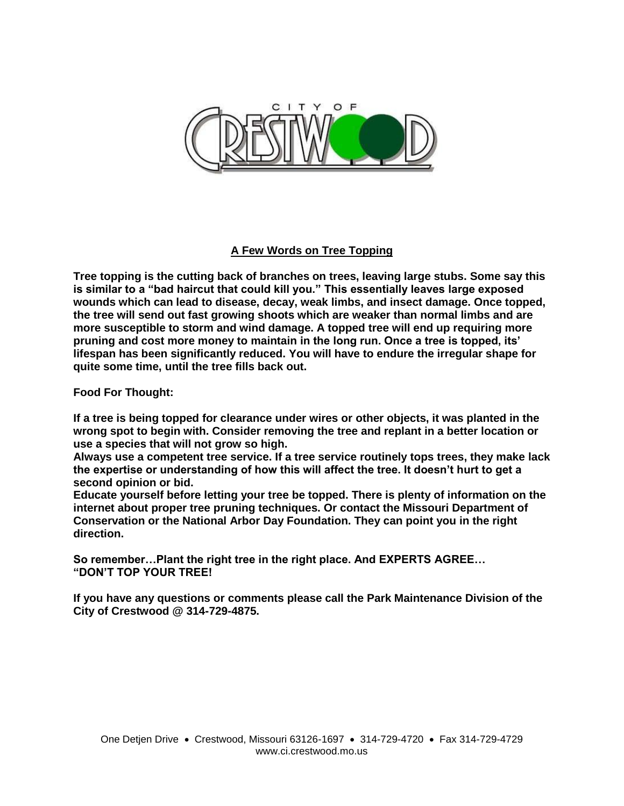

## **A Few Words on Tree Topping**

**Tree topping is the cutting back of branches on trees, leaving large stubs. Some say this is similar to a "bad haircut that could kill you." This essentially leaves large exposed wounds which can lead to disease, decay, weak limbs, and insect damage. Once topped, the tree will send out fast growing shoots which are weaker than normal limbs and are more susceptible to storm and wind damage. A topped tree will end up requiring more pruning and cost more money to maintain in the long run. Once a tree is topped, its' lifespan has been significantly reduced. You will have to endure the irregular shape for quite some time, until the tree fills back out.**

**Food For Thought:**

**If a tree is being topped for clearance under wires or other objects, it was planted in the wrong spot to begin with. Consider removing the tree and replant in a better location or use a species that will not grow so high.**

**Always use a competent tree service. If a tree service routinely tops trees, they make lack the expertise or understanding of how this will affect the tree. It doesn't hurt to get a second opinion or bid.**

**Educate yourself before letting your tree be topped. There is plenty of information on the internet about proper tree pruning techniques. Or contact the Missouri Department of Conservation or the National Arbor Day Foundation. They can point you in the right direction.**

**So remember…Plant the right tree in the right place. And EXPERTS AGREE… "DON'T TOP YOUR TREE!**

**If you have any questions or comments please call the Park Maintenance Division of the City of Crestwood @ 314-729-4875.**